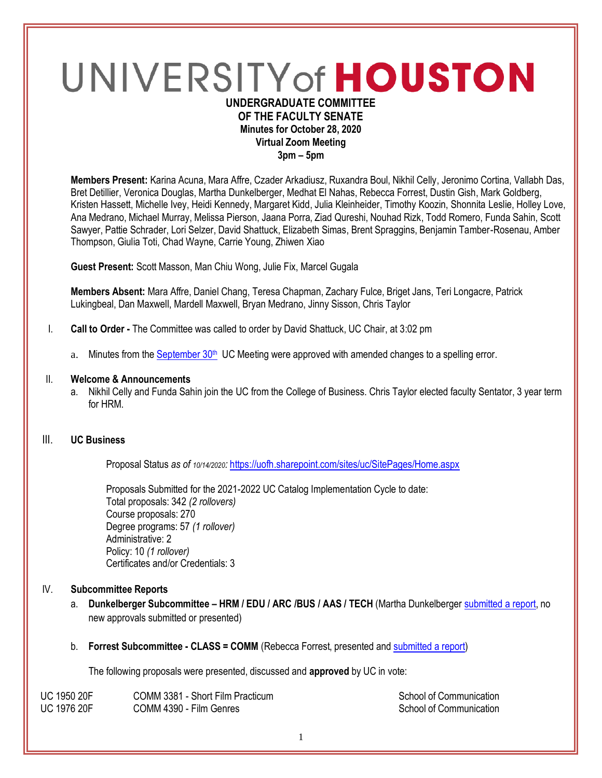# UNIVERSITY of HOUSTON **UNDERGRADUATE COMMITTEE**

# **OF THE FACULTY SENATE Minutes for October 28, 2020 Virtual Zoom Meeting 3pm – 5pm**

**Members Present:** Karina Acuna, Mara Affre, Czader Arkadiusz, Ruxandra Boul, Nikhil Celly, Jeronimo Cortina, Vallabh Das, Bret Detillier, Veronica Douglas, Martha Dunkelberger, Medhat El Nahas, Rebecca Forrest, Dustin Gish, Mark Goldberg, Kristen Hassett, Michelle Ivey, Heidi Kennedy, Margaret Kidd, Julia Kleinheider, Timothy Koozin, Shonnita Leslie, Holley Love, Ana Medrano, Michael Murray, Melissa Pierson, Jaana Porra, Ziad Qureshi, Nouhad Rizk, Todd Romero, Funda Sahin, Scott Sawyer, Pattie Schrader, Lori Selzer, David Shattuck, Elizabeth Simas, Brent Spraggins, Benjamin Tamber-Rosenau, Amber Thompson, Giulia Toti, Chad Wayne, Carrie Young, Zhiwen Xiao

**Guest Present:** Scott Masson, Man Chiu Wong, Julie Fix, Marcel Gugala

**Members Absent:** Mara Affre, Daniel Chang, Teresa Chapman, Zachary Fulce, Briget Jans, Teri Longacre, Patrick Lukingbeal, Dan Maxwell, Mardell Maxwell, Bryan Medrano, Jinny Sisson, Chris Taylor

- I. **Call to Order -** The Committee was called to order by David Shattuck, UC Chair, at 3:02 pm
	- a. Minutes from the [September 30](https://uh.edu/undergraduate-committee/meetings/agendas-minutes/ay-2021/m_2020_09302.pdf)<sup>th</sup> UC Meeting were approved with amended changes to a spelling error.

#### II. **Welcome & Announcements**

a. Nikhil Celly and Funda Sahin join the UC from the College of Business. Chris Taylor elected faculty Sentator, 3 year term for HRM.

# III. **UC Business**

Proposal Status *as of 10/14/2020:* <https://uofh.sharepoint.com/sites/uc/SitePages/Home.aspx>

Proposals Submitted for the 2021-2022 UC Catalog Implementation Cycle to date: Total proposals: 342 *(2 rollovers)* Course proposals: 270 Degree programs: 57 *(1 rollover)* Administrative: 2 Policy: 10 *(1 rollover)* Certificates and/or Credentials: 3

#### IV. **Subcommittee Reports**

- a. **Dunkelberger Subcommittee – HRM / EDU / ARC /BUS / AAS / TECH** (Martha Dunkelberger [submitted a report,](https://uofh.sharepoint.com/:w:/s/uc/admin/EafwtzzBN1JHlBggQSpCngkBq50K9g5CuwKPItCyCFNlvw?e=4PBeND) no new approvals submitted or presented)
- b. **Forrest Subcommittee - CLASS = COMM** (Rebecca Forrest, presented and [submitted a report\)](https://uofh.sharepoint.com/:w:/s/uc/admin/EaQSjyCIG2NMiHv-A0hTzlwBOgiV3yV8sggbt3FNdmd8fA?e=0T0aCk)

The following proposals were presented, discussed and **approved** by UC in vote:

| <b>UC 1950 20F</b> | COMM 3381 - Short Film Practicum | School of Communication |
|--------------------|----------------------------------|-------------------------|
| <b>UC 1976 20F</b> | COMM 4390 - Film Genres          | School of Communication |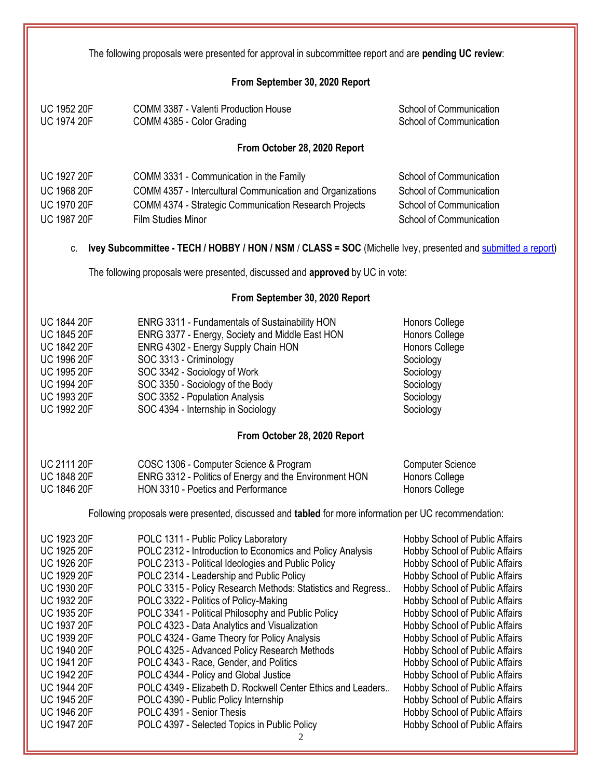| The following proposals were presented for approval in subcommittee report and are pending UC review:                                                                                                                                                                                                                                                 |                                                                                                                                                                                                                                                                                                                                                                                                                                                                                                                                                                                                                                                                                                                                                                                         |                                                                                                                                                                                                                                                                                                                                                                                                                                                                                                                                                                                                               |
|-------------------------------------------------------------------------------------------------------------------------------------------------------------------------------------------------------------------------------------------------------------------------------------------------------------------------------------------------------|-----------------------------------------------------------------------------------------------------------------------------------------------------------------------------------------------------------------------------------------------------------------------------------------------------------------------------------------------------------------------------------------------------------------------------------------------------------------------------------------------------------------------------------------------------------------------------------------------------------------------------------------------------------------------------------------------------------------------------------------------------------------------------------------|---------------------------------------------------------------------------------------------------------------------------------------------------------------------------------------------------------------------------------------------------------------------------------------------------------------------------------------------------------------------------------------------------------------------------------------------------------------------------------------------------------------------------------------------------------------------------------------------------------------|
|                                                                                                                                                                                                                                                                                                                                                       | From September 30, 2020 Report                                                                                                                                                                                                                                                                                                                                                                                                                                                                                                                                                                                                                                                                                                                                                          |                                                                                                                                                                                                                                                                                                                                                                                                                                                                                                                                                                                                               |
| <b>UC 1952 20F</b><br><b>UC 1974 20F</b>                                                                                                                                                                                                                                                                                                              | COMM 3387 - Valenti Production House<br>COMM 4385 - Color Grading                                                                                                                                                                                                                                                                                                                                                                                                                                                                                                                                                                                                                                                                                                                       | School of Communication<br>School of Communication                                                                                                                                                                                                                                                                                                                                                                                                                                                                                                                                                            |
|                                                                                                                                                                                                                                                                                                                                                       | From October 28, 2020 Report                                                                                                                                                                                                                                                                                                                                                                                                                                                                                                                                                                                                                                                                                                                                                            |                                                                                                                                                                                                                                                                                                                                                                                                                                                                                                                                                                                                               |
| <b>UC 1927 20F</b><br>UC 1968 20F<br><b>UC 1970 20F</b><br><b>UC 1987 20F</b><br>C.                                                                                                                                                                                                                                                                   | COMM 3331 - Communication in the Family<br>COMM 4357 - Intercultural Communication and Organizations<br>COMM 4374 - Strategic Communication Research Projects<br><b>Film Studies Minor</b><br>Ivey Subcommittee - TECH / HOBBY / HON / NSM / CLASS = SOC (Michelle Ivey, presented and submitted a report)                                                                                                                                                                                                                                                                                                                                                                                                                                                                              | School of Communication<br>School of Communication<br>School of Communication<br>School of Communication                                                                                                                                                                                                                                                                                                                                                                                                                                                                                                      |
|                                                                                                                                                                                                                                                                                                                                                       | The following proposals were presented, discussed and approved by UC in vote:                                                                                                                                                                                                                                                                                                                                                                                                                                                                                                                                                                                                                                                                                                           |                                                                                                                                                                                                                                                                                                                                                                                                                                                                                                                                                                                                               |
|                                                                                                                                                                                                                                                                                                                                                       | From September 30, 2020 Report                                                                                                                                                                                                                                                                                                                                                                                                                                                                                                                                                                                                                                                                                                                                                          |                                                                                                                                                                                                                                                                                                                                                                                                                                                                                                                                                                                                               |
| <b>UC 1844 20F</b><br><b>UC 1845 20F</b><br><b>UC 1842 20F</b><br><b>UC 1996 20F</b><br><b>UC 1995 20F</b><br><b>UC 1994 20F</b><br><b>UC 1993 20F</b><br><b>UC 1992 20F</b>                                                                                                                                                                          | ENRG 3311 - Fundamentals of Sustainability HON<br>ENRG 3377 - Energy, Society and Middle East HON<br>ENRG 4302 - Energy Supply Chain HON<br>SOC 3313 - Criminology<br>SOC 3342 - Sociology of Work<br>SOC 3350 - Sociology of the Body<br>SOC 3352 - Population Analysis<br>SOC 4394 - Internship in Sociology                                                                                                                                                                                                                                                                                                                                                                                                                                                                          | Honors College<br>Honors College<br><b>Honors College</b><br>Sociology<br>Sociology<br>Sociology<br>Sociology<br>Sociology                                                                                                                                                                                                                                                                                                                                                                                                                                                                                    |
|                                                                                                                                                                                                                                                                                                                                                       | From October 28, 2020 Report                                                                                                                                                                                                                                                                                                                                                                                                                                                                                                                                                                                                                                                                                                                                                            |                                                                                                                                                                                                                                                                                                                                                                                                                                                                                                                                                                                                               |
| <b>UC 2111 20F</b><br><b>UC 1848 20F</b><br><b>UC 1846 20F</b>                                                                                                                                                                                                                                                                                        | COSC 1306 - Computer Science & Program<br>ENRG 3312 - Politics of Energy and the Environment HON<br>HON 3310 - Poetics and Performance<br>Following proposals were presented, discussed and tabled for more information per UC recommendation:                                                                                                                                                                                                                                                                                                                                                                                                                                                                                                                                          | <b>Computer Science</b><br>Honors College<br>Honors College                                                                                                                                                                                                                                                                                                                                                                                                                                                                                                                                                   |
|                                                                                                                                                                                                                                                                                                                                                       |                                                                                                                                                                                                                                                                                                                                                                                                                                                                                                                                                                                                                                                                                                                                                                                         |                                                                                                                                                                                                                                                                                                                                                                                                                                                                                                                                                                                                               |
| <b>UC 1923 20F</b><br><b>UC 1925 20F</b><br><b>UC 1926 20F</b><br><b>UC 1929 20F</b><br><b>UC 1930 20F</b><br><b>UC 1932 20F</b><br>UC 1935 20F<br><b>UC 1937 20F</b><br><b>UC 1939 20F</b><br><b>UC 1940 20F</b><br><b>UC 1941 20F</b><br><b>UC 1942 20F</b><br><b>UC 1944 20F</b><br><b>UC 1945 20F</b><br><b>UC 1946 20F</b><br><b>UC 1947 20F</b> | POLC 1311 - Public Policy Laboratory<br>POLC 2312 - Introduction to Economics and Policy Analysis<br>POLC 2313 - Political Ideologies and Public Policy<br>POLC 2314 - Leadership and Public Policy<br>POLC 3315 - Policy Research Methods: Statistics and Regress<br>POLC 3322 - Politics of Policy-Making<br>POLC 3341 - Political Philosophy and Public Policy<br>POLC 4323 - Data Analytics and Visualization<br>POLC 4324 - Game Theory for Policy Analysis<br>POLC 4325 - Advanced Policy Research Methods<br>POLC 4343 - Race, Gender, and Politics<br>POLC 4344 - Policy and Global Justice<br>POLC 4349 - Elizabeth D. Rockwell Center Ethics and Leaders<br>POLC 4390 - Public Policy Internship<br>POLC 4391 - Senior Thesis<br>POLC 4397 - Selected Topics in Public Policy | <b>Hobby School of Public Affairs</b><br><b>Hobby School of Public Affairs</b><br>Hobby School of Public Affairs<br>Hobby School of Public Affairs<br>Hobby School of Public Affairs<br>Hobby School of Public Affairs<br>Hobby School of Public Affairs<br>Hobby School of Public Affairs<br><b>Hobby School of Public Affairs</b><br>Hobby School of Public Affairs<br><b>Hobby School of Public Affairs</b><br>Hobby School of Public Affairs<br>Hobby School of Public Affairs<br><b>Hobby School of Public Affairs</b><br><b>Hobby School of Public Affairs</b><br><b>Hobby School of Public Affairs</b> |

2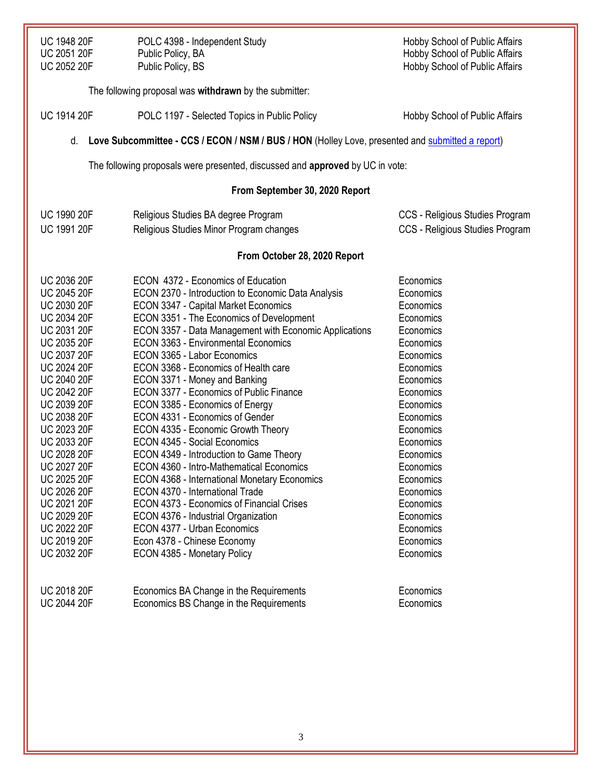| UC 1948 20F | POLC 4398 - Independent Study | <b>Hobby School of Public Affairs</b> |
|-------------|-------------------------------|---------------------------------------|
| UC 2051 20F | Public Policy, BA             | <b>Hobby School of Public Affairs</b> |
| UC 2052 20F | Public Policy, BS             | <b>Hobby School of Public Affairs</b> |

|                    | The following proposal was withdrawn by the submitter:                                           |                                       |
|--------------------|--------------------------------------------------------------------------------------------------|---------------------------------------|
| <b>UC 1914 20F</b> | POLC 1197 - Selected Topics in Public Policy                                                     | <b>Hobby School of Public Affairs</b> |
| d.                 | Love Subcommittee - CCS / ECON / NSM / BUS / HON (Holley Love, presented and submitted a report) |                                       |
|                    | The following proposals were presented, discussed and approved by UC in vote:                    |                                       |
|                    | From September 30, 2020 Report                                                                   |                                       |
| <b>UC 1990 20F</b> | Religious Studies BA degree Program                                                              | CCS - Religious Studies Program       |
| <b>UC 1991 20F</b> | Religious Studies Minor Program changes                                                          | CCS - Religious Studies Program       |
|                    | From October 28, 2020 Report                                                                     |                                       |
| <b>UC 2036 20F</b> | ECON 4372 - Economics of Education                                                               | Economics                             |
| <b>UC 2045 20F</b> | ECON 2370 - Introduction to Economic Data Analysis                                               | Economics                             |
| <b>UC 2030 20F</b> | <b>ECON 3347 - Capital Market Economics</b>                                                      | Economics                             |
| <b>UC 2034 20F</b> | ECON 3351 - The Economics of Development                                                         | Economics                             |
| <b>UC 2031 20F</b> | ECON 3357 - Data Management with Economic Applications                                           | Economics                             |
| UC 2035 20F        | <b>ECON 3363 - Environmental Economics</b>                                                       | Economics                             |
| <b>UC 2037 20F</b> | ECON 3365 - Labor Economics                                                                      | Economics                             |
| <b>UC 2024 20F</b> | ECON 3368 - Economics of Health care                                                             | Economics                             |
| UC 2040 20F        | ECON 3371 - Money and Banking                                                                    | Economics                             |
| <b>UC 2042 20F</b> | ECON 3377 - Economics of Public Finance                                                          | Economics                             |
| <b>UC 2039 20F</b> | ECON 3385 - Economics of Energy                                                                  | Economics                             |
| <b>UC 2038 20F</b> | ECON 4331 - Economics of Gender                                                                  | Economics                             |
| <b>UC 2023 20F</b> | ECON 4335 - Economic Growth Theory                                                               | Economics                             |
| <b>UC 2033 20F</b> | ECON 4345 - Social Economics                                                                     | Economics                             |
| <b>UC 2028 20F</b> | ECON 4349 - Introduction to Game Theory                                                          | Economics                             |
| <b>UC 2027 20F</b> | ECON 4360 - Intro-Mathematical Economics                                                         | Economics                             |
| <b>UC 2025 20F</b> | ECON 4368 - International Monetary Economics                                                     | Economics                             |
| <b>UC 2026 20F</b> | ECON 4370 - International Trade                                                                  | Economics                             |
| <b>UC 2021 20F</b> | ECON 4373 - Economics of Financial Crises                                                        | Economics                             |
| <b>UC 2029 20F</b> | ECON 4376 - Industrial Organization                                                              | Economics                             |
| UC 2022 20F        | ECON 4377 - Urban Economics                                                                      | Economics                             |
| UC 2019 20F        | Econ 4378 - Chinese Economy                                                                      | Economics                             |
| <b>UC 2032 20F</b> | ECON 4385 - Monetary Policy                                                                      | Economics                             |
| <b>UC 2018 20F</b> | Economics BA Change in the Requirements                                                          | Economics                             |
| <b>UC 2044 20F</b> | Economics BS Change in the Requirements                                                          | Economics                             |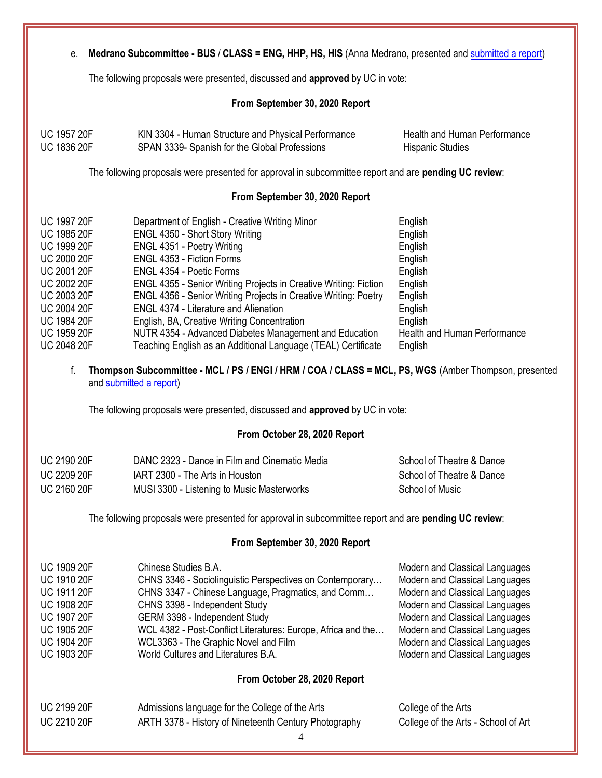e. **Medrano Subcommittee - BUS** / **CLASS = ENG, HHP, HS, HIS** (Anna Medrano, presented an[d submitted a report\)](https://uofh.sharepoint.com/:w:/s/uc/admin/EWd4d3gmwEFHpEQMNKAaOK0BGsCM844MXSlZ15suGM8evw?e=mC5DXy)

The following proposals were presented, discussed and **approved** by UC in vote:

#### **From September 30, 2020 Report**

| <b>UC 1957 20F</b> | KIN 3304 - Human Structure and Physical Performance | Health and Human Performance |
|--------------------|-----------------------------------------------------|------------------------------|
| <b>UC 1836 20F</b> | SPAN 3339- Spanish for the Global Professions       | <b>Hispanic Studies</b>      |

The following proposals were presented for approval in subcommittee report and are **pending UC review**:

#### **From September 30, 2020 Report**

| <b>UC 1997 20F</b> | Department of English - Creative Writing Minor                         | English                      |
|--------------------|------------------------------------------------------------------------|------------------------------|
| <b>UC 1985 20F</b> | ENGL 4350 - Short Story Writing                                        | English                      |
| <b>UC 1999 20F</b> | ENGL 4351 - Poetry Writing                                             | English                      |
| <b>UC 2000 20F</b> | ENGL 4353 - Fiction Forms                                              | English                      |
| <b>UC 2001 20F</b> | ENGL 4354 - Poetic Forms                                               | English                      |
| <b>UC 2002 20F</b> | ENGL 4355 - Senior Writing Projects in Creative Writing: Fiction       | English                      |
| <b>UC 2003 20F</b> | <b>ENGL 4356 - Senior Writing Projects in Creative Writing: Poetry</b> | English                      |
| <b>UC 2004 20F</b> | <b>ENGL 4374 - Literature and Alienation</b>                           | English                      |
| <b>UC 1984 20F</b> | English, BA, Creative Writing Concentration                            | English                      |
| <b>UC 1959 20F</b> | NUTR 4354 - Advanced Diabetes Management and Education                 | Health and Human Performance |
| <b>UC 2048 20F</b> | Teaching English as an Additional Language (TEAL) Certificate          | English                      |

f. **Thompson Subcommittee - MCL / PS / ENGI / HRM / COA / CLASS = MCL, PS, WGS** (Amber Thompson, presented an[d submitted a report\)](https://uofh.sharepoint.com/:w:/s/uc/admin/EfChTiWO1YlJiBp0bs9Xj6IBbmXZ_l4Qe_sbnbZjqYr_yA?e=n2TDOM)

The following proposals were presented, discussed and **approved** by UC in vote:

## **From October 28, 2020 Report**

| <b>UC 2190 20F</b> | DANC 2323 - Dance in Film and Cinematic Media | School of Theatre & Dance |
|--------------------|-----------------------------------------------|---------------------------|
| <b>UC 2209 20F</b> | IART 2300 - The Arts in Houston               | School of Theatre & Dance |
| <b>UC 2160 20F</b> | MUSI 3300 - Listening to Music Masterworks    | School of Music           |

The following proposals were presented for approval in subcommittee report and are **pending UC review**:

#### **From September 30, 2020 Report**

| Chinese Studies B.A.                                         | Modern and Classical Languages |  |
|--------------------------------------------------------------|--------------------------------|--|
| CHNS 3346 - Sociolinguistic Perspectives on Contemporary     | Modern and Classical Languages |  |
| CHNS 3347 - Chinese Language, Pragmatics, and Comm           | Modern and Classical Languages |  |
| CHNS 3398 - Independent Study                                | Modern and Classical Languages |  |
| GERM 3398 - Independent Study                                | Modern and Classical Languages |  |
| WCL 4382 - Post-Conflict Literatures: Europe, Africa and the | Modern and Classical Languages |  |
| WCL3363 - The Graphic Novel and Film                         | Modern and Classical Languages |  |
| World Cultures and Literatures B.A.                          | Modern and Classical Languages |  |
|                                                              |                                |  |
|                                                              |                                |  |
|                                                              |                                |  |
|                                                              | From October 28, 2020 Report   |  |

| <b>UC 2199 20F</b> | Admissions language for the College of the Arts       | College of the Arts |
|--------------------|-------------------------------------------------------|---------------------|
| <b>UC 2210 20F</b> | ARTH 3378 - History of Nineteenth Century Photography | College of the Arts |

Arts - School of Art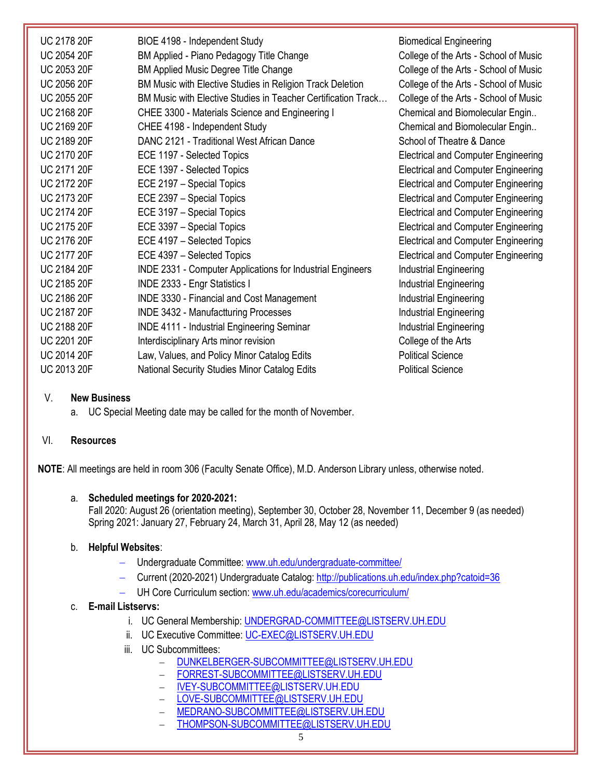| <b>UC 2178 20F</b> | BIOE 4198 - Independent Study                                 | B  |
|--------------------|---------------------------------------------------------------|----|
| UC 2054 20F        | BM Applied - Piano Pedagogy Title Change                      | C  |
| UC 2053 20F        | <b>BM Applied Music Degree Title Change</b>                   | С  |
| <b>UC 2056 20F</b> | BM Music with Elective Studies in Religion Track Deletion     | С  |
| UC 2055 20F        | BM Music with Elective Studies in Teacher Certification Track | C  |
| <b>UC 2168 20F</b> | CHEE 3300 - Materials Science and Engineering I               | С  |
| UC 2169 20F        | CHEE 4198 - Independent Study                                 | С  |
| UC 2189 20F        | DANC 2121 - Traditional West African Dance                    | S  |
| <b>UC 2170 20F</b> | ECE 1197 - Selected Topics                                    | E  |
| <b>UC 2171 20F</b> | ECE 1397 - Selected Topics                                    | E  |
| <b>UC 2172 20F</b> | ECE 2197 - Special Topics                                     | E  |
| UC 2173 20F        | ECE 2397 - Special Topics                                     | E  |
| <b>UC 2174 20F</b> | ECE 3197 - Special Topics                                     | E  |
| <b>UC 2175 20F</b> | ECE 3397 - Special Topics                                     | E  |
| <b>UC 2176 20F</b> | ECE 4197 - Selected Topics                                    | E  |
| <b>UC 2177 20F</b> | ECE 4397 - Selected Topics                                    | E  |
| <b>UC 2184 20F</b> | INDE 2331 - Computer Applications for Industrial Engineers    | Ir |
| UC 2185 20F        | <b>INDE 2333 - Engr Statistics I</b>                          | Ir |
| <b>UC 2186 20F</b> | INDE 3330 - Financial and Cost Management                     | Ir |
| UC 2187 20F        | <b>INDE 3432 - Manufactturing Processes</b>                   | Ir |
| UC 2188 20F        | <b>INDE 4111 - Industrial Engineering Seminar</b>             | Ir |
| <b>UC 2201 20F</b> | Interdisciplinary Arts minor revision                         | С  |
| <b>UC 2014 20F</b> | Law, Values, and Policy Minor Catalog Edits                   | P  |
| <b>UC 2013 20F</b> | National Security Studies Minor Catalog Edits                 | P  |

iomedical Engineering ollege of the Arts - School of Music ollege of the Arts - School of Music ollege of the Arts - School of Music ollege of the Arts - School of Music hemical and Biomolecular Engin.. hemical and Biomolecular Engin.. chool of Theatre & Dance lectrical and Computer Engineering lectrical and Computer Engineering Iectrical and Computer Engineering Iectrical and Computer Engineering Iectrical and Computer Engineering Iectrical and Computer Engineering Iectrical and Computer Engineering Iectrical and Computer Engineering ndustrial Engineering ndustrial Engineering ndustrial Engineering dustrial Engineering dustrial Engineering ollege of the Arts olitical Science olitical Science

## V. **New Business**

a. UC Special Meeting date may be called for the month of November.

# VI. **Resources**

**NOTE**: All meetings are held in room 306 (Faculty Senate Office), M.D. Anderson Library unless, otherwise noted.

## a. **Scheduled meetings for 2020-2021:**

Fall 2020: August 26 (orientation meeting), September 30, October 28, November 11, December 9 (as needed) Spring 2021: January 27, February 24, March 31, April 28, May 12 (as needed)

# b. **Helpful Websites**:

- Undergraduate Committee: [www.uh.edu/undergraduate-committee/](http://www.uh.edu/undergraduate-committee/)
- Current (2020-2021) Undergraduate Catalog: <http://publications.uh.edu/index.php?catoid=36>
- UH Core Curriculum section: [www.uh.edu/academics/corecurriculum/](http://www.uh.edu/academics/corecurriculum/)

# c. **E-mail Listservs:**

- i. UC General Membership: [UNDERGRAD-COMMITTEE@LISTSERV.UH.EDU](mailto:UNDERGRAD-COMMITTEE@LISTSERV.UH.EDU)
- ii. UC Executive Committee: [UC-EXEC@LISTSERV.UH.EDU](mailto:UC-EXEC@LISTSERV.UH.EDU)
- iii. UC Subcommittees:
	- [DUNKELBERGER-SUBCOMMITTEE@LISTSERV.UH.EDU](mailto:DUNKELBERGER-SUBCOMMITTEE@LISTSERV.UH.EDU)
	- [FORREST-SUBCOMMITTEE@LISTSERV.UH.EDU](mailto:FORREST-SUBCOMMITTEE@LISTSERV.UH.EDU)
	- [IVEY-SUBCOMMITTEE@LISTSERV.UH.EDU](mailto:IVEY-SUBCOMMITTEE@LISTSERV.UH.EDU)
	- [LOVE-SUBCOMMITTEE@LISTSERV.UH.EDU](mailto:LOVE-SUBCOMMITTEE@LISTSERV.UH.EDU)
	- [MEDRANO-SUBCOMMITTEE@LISTSERV.UH.EDU](mailto:MEDRANO-SUBCOMMITTEE@LISTSERV.UH.EDU)
	- [THOMPSON-SUBCOMMITTEE@LISTSERV.UH.EDU](mailto:THOMPSON-SUBCOMMITTEE@LISTSERV.UH.EDU)